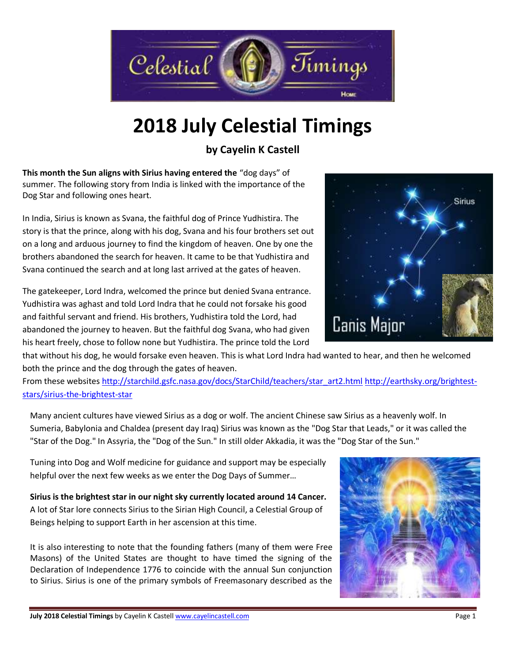

# **2018 July Celestial Timings**

**by Cayelin K Castell**

**This month the Sun aligns with Sirius having entered the** "dog days" of summer. The following story from India is linked with the importance of the Dog Star and following ones heart.

In India, Sirius is known as Svana, the faithful dog of Prince Yudhistira. The story is that the prince, along with his dog, Svana and his four brothers set out on a long and arduous journey to find the kingdom of heaven. One by one the brothers abandoned the search for heaven. It came to be that Yudhistira and Svana continued the search and at long last arrived at the gates of heaven.

The gatekeeper, Lord Indra, welcomed the prince but denied Svana entrance. Yudhistira was aghast and told Lord Indra that he could not forsake his good and faithful servant and friend. His brothers, Yudhistira told the Lord, had abandoned the journey to heaven. But the faithful dog Svana, who had given his heart freely, chose to follow none but Yudhistira. The prince told the Lord



that without his dog, he would forsake even heaven. This is what Lord Indra had wanted to hear, and then he welcomed both the prince and the dog through the gates of heaven.

From these websites [http://starchild.gsfc.nasa.gov/docs/StarChild/teachers/star\\_art2.html](http://starchild.gsfc.nasa.gov/docs/StarChild/teachers/star_art2.html) [http://earthsky.org/brightest](http://earthsky.org/brightest-stars/sirius-the-brightest-star)[stars/sirius-the-brightest-star](http://earthsky.org/brightest-stars/sirius-the-brightest-star)

Many ancient cultures have viewed Sirius as a dog or wolf. The ancient Chinese saw Sirius as a heavenly wolf. In Sumeria, Babylonia and Chaldea (present day Iraq) Sirius was known as the "Dog Star that Leads," or it was called the "Star of the Dog." In Assyria, the "Dog of the Sun." In still older Akkadia, it was the "Dog Star of the Sun."

Tuning into Dog and Wolf medicine for guidance and support may be especially helpful over the next few weeks as we enter the Dog Days of Summer…

**Sirius is the brightest star in our night sky currently located around 14 Cancer.**  A lot of Star lore connects Sirius to the Sirian High Council, a Celestial Group of Beings helping to support Earth in her ascension at this time.

It is also interesting to note that the founding fathers (many of them were Free Masons) of the United States are thought to have timed the signing of the Declaration of Independence 1776 to coincide with the annual Sun conjunction to Sirius. Sirius is one of the primary symbols of Freemasonary described as the

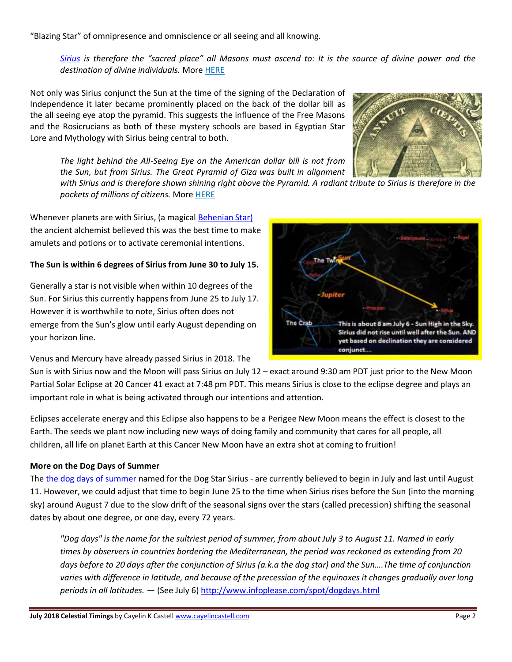"Blazing Star" of omnipresence and omniscience or all seeing and all knowing.

*[Sirius](http://vigilantcitizen.com/hidden-knowledge/connection-between-sirius-and-human-history/) is therefore the "sacred place" all Masons must ascend to: It is the source of divine power and the destination of divine individuals.* More [HERE](http://vigilantcitizen.com/hidden-knowledge/connection-between-sirius-and-human-history/)

Not only was Sirius conjunct the Sun at the time of the signing of the Declaration of Independence it later became prominently placed on the back of the dollar bill as the all seeing eye atop the pyramid. This suggests the influence of the Free Masons and the Rosicrucians as both of these mystery schools are based in Egyptian Star Lore and Mythology with Sirius being central to both.



*The light behind the All-Seeing Eye on the American dollar bill is not from the Sun, but from Sirius. The Great Pyramid of Giza was built in alignment* 

*with Sirius and is therefore shown shining right above the Pyramid. A radiant tribute to Sirius is therefore in the pockets of millions of citizens.* Mor[e HERE](http://vigilantcitizen.com/hidden-knowledge/connection-between-sirius-and-human-history/)

Whenever planets are with Sirius, (a magical [Behenian Star\)](http://cayelincastell.com/behenian-stars/) the ancient alchemist believed this was the best time to make amulets and potions or to activate ceremonial intentions.

### **The Sun is within 6 degrees of Sirius from June 30 to July 15.**

Generally a star is not visible when within 10 degrees of the Sun. For Sirius this currently happens from June 25 to July 17. However it is worthwhile to note, Sirius often does not emerge from the Sun's glow until early August depending on your horizon line.

Venus and Mercury have already passed Sirius in 2018. The

Sun is with Sirius now and the Moon will pass Sirius on July 12 – exact around 9:30 am PDT just prior to the New Moon Partial Solar Eclipse at 20 Cancer 41 exact at 7:48 pm PDT. This means Sirius is close to the eclipse degree and plays an important role in what is being activated through our intentions and attention.

Eclipses accelerate energy and this Eclipse also happens to be a Perigee New Moon means the effect is closest to the Earth. The seeds we plant now including new ways of doing family and community that cares for all people, all children, all life on planet Earth at this Cancer New Moon have an extra shot at coming to fruition!

### **More on the Dog Days of Summer**

The [the dog days of summer](http://en.wikipedia.org/wiki/Dog_Days) named for the Dog Star Sirius - are currently believed to begin in July and last until August 11. However, we could adjust that time to begin June 25 to the time when Sirius rises before the Sun (into the morning sky) around August 7 due to the slow drift of the seasonal signs over the stars (called precession) shifting the seasonal dates by about one degree, or one day, every 72 years.

*"Dog days" is the name for the sultriest period of summer, from about July 3 to August 11. Named in early times by observers in countries bordering the Mediterranean, the period was reckoned as extending from 20*  days before to 20 days after the conjunction of Sirius (a.k.a the dog star) and the Sun....The time of conjunction *varies with difference in latitude, and because of the precession of the equinoxes it changes gradually over long periods in all latitudes.* — (See July 6)<http://www.infoplease.com/spot/dogdays.html>

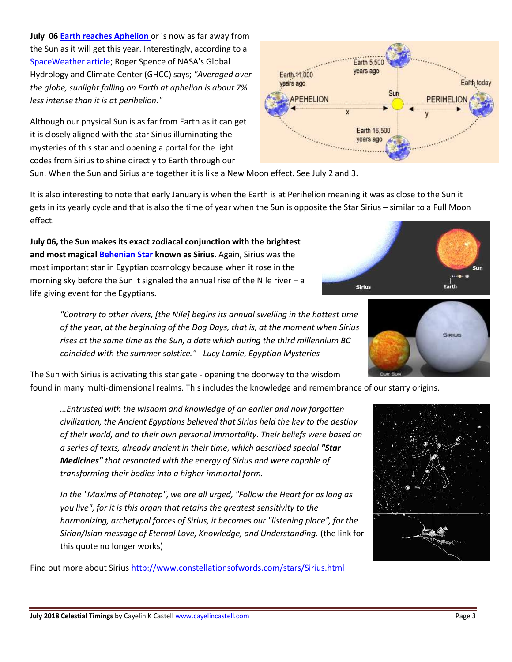**July 06 [Earth reaches Aphelion](http://science.nasa.gov/science-news/science-at-nasa/2000/ast30jun_1m/)** or is now as far away from the Sun as it will get this year. Interestingly, according to a [SpaceWeather article;](http://spaceweather.com/glossary/aphelion.html) Roger Spence of NASA's Global Hydrology and Climate Center (GHCC) says; *"Averaged over the globe, sunlight falling on Earth at aphelion is about 7% less intense than it is at perihelion."*

Although our physical Sun is as far from Earth as it can get it is closely aligned with the star Sirius illuminating the mysteries of this star and opening a portal for the light codes from Sirius to shine directly to Earth through our

Sun. When the Sun and Sirius are together it is like a New Moon effect. See July 2 and 3.

It is also interesting to note that early January is when the Earth is at Perihelion meaning it was as close to the Sun it gets in its yearly cycle and that is also the time of year when the Sun is opposite the Star Sirius – similar to a Full Moon effect.

**July 06, the Sun makes its exact zodiacal conjunction with the brightest and most magical [Behenian Star](http://cayelincastell.com/behenian-stars/) known as Sirius.** Again, Sirius was the most important star in Egyptian cosmology because when it rose in the morning sky before the Sun it signaled the annual rise of the Nile river – a life giving event for the Egyptians.

> *"Contrary to other rivers, [the Nile] begins its annual swelling in the hottest time of the year, at the beginning of the Dog Days, that is, at the moment when Sirius rises at the same time as the Sun, a date which during the third millennium BC coincided with the summer solstice." - Lucy Lamie, Egyptian Mysteries*

The Sun with Sirius is activating this star gate - opening the doorway to the wisdom

found in many multi-dimensional realms. This includes the knowledge and remembrance of our starry origins.

*…Entrusted with the wisdom and knowledge of an earlier and now forgotten civilization, the Ancient Egyptians believed that Sirius held the key to the destiny of their world, and to their own personal immortality. Their beliefs were based on a series of texts, already ancient in their time, which described special "Star Medicines" that resonated with the energy of Sirius and were capable of transforming their bodies into a higher immortal form.* 

*In the "Maxims of Ptahotep", we are all urged, "Follow the Heart for as long as you live", for it is this organ that retains the greatest sensitivity to the harmonizing, archetypal forces of Sirius, it becomes our "listening place", for the Sirian/Isian message of Eternal Love, Knowledge, and Understanding.* (the link for this quote no longer works)

Find out more about Sirius<http://www.constellationsofwords.com/stars/Sirius.html>







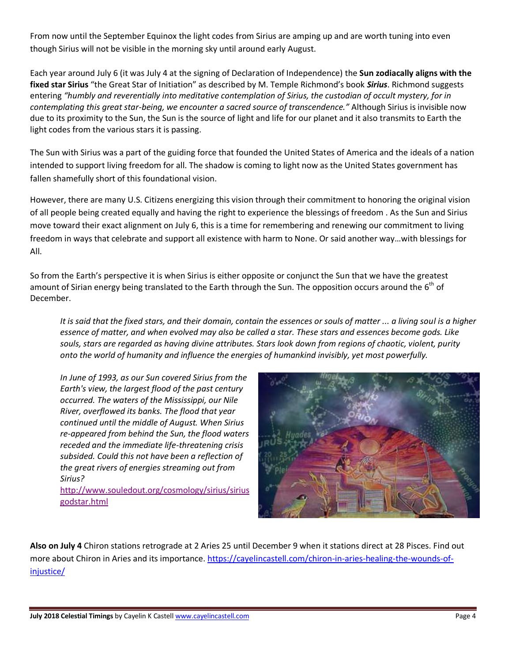From now until the September Equinox the light codes from Sirius are amping up and are worth tuning into even though Sirius will not be visible in the morning sky until around early August.

Each year around July 6 (it was July 4 at the signing of Declaration of Independence) the **Sun zodiacally aligns with the fixed star Sirius** "the Great Star of Initiation" as described by M. Temple Richmond's book *Sirius*. Richmond suggests entering *"humbly and reverentially into meditative contemplation of Sirius, the custodian of occult mystery, for in contemplating this great star-being, we encounter a sacred source of transcendence."* Although Sirius is invisible now due to its proximity to the Sun, the Sun is the source of light and life for our planet and it also transmits to Earth the light codes from the various stars it is passing.

The Sun with Sirius was a part of the guiding force that founded the United States of America and the ideals of a nation intended to support living freedom for all. The shadow is coming to light now as the United States government has fallen shamefully short of this foundational vision.

However, there are many U.S. Citizens energizing this vision through their commitment to honoring the original vision of all people being created equally and having the right to experience the blessings of freedom . As the Sun and Sirius move toward their exact alignment on July 6, this is a time for remembering and renewing our commitment to living freedom in ways that celebrate and support all existence with harm to None. Or said another way…with blessings for All.

So from the Earth's perspective it is when Sirius is either opposite or conjunct the Sun that we have the greatest amount of Sirian energy being translated to the Earth through the Sun. The opposition occurs around the  $6<sup>th</sup>$  of December.

*It is said that the fixed stars, and their domain, contain the essences or souls of matter ... a living soul is a higher essence of matter, and when evolved may also be called a star. These stars and essences become gods. Like souls, stars are regarded as having divine attributes. Stars look down from regions of chaotic, violent, purity onto the world of humanity and influence the energies of humankind invisibly, yet most powerfully.*

*In June of 1993, as our Sun covered Sirius from the Earth's view, the largest flood of the past century occurred. The waters of the Mississippi, our Nile River, overflowed its banks. The flood that year continued until the middle of August. When Sirius re-appeared from behind the Sun, the flood waters receded and the immediate life-threatening crisis subsided. Could this not have been a reflection of the great rivers of energies streaming out from Sirius?*

[http://www.souledout.org/cosmology/sirius/sirius](http://www.souledout.org/cosmology/sirius/siriusgodstar.html) [godstar.html](http://www.souledout.org/cosmology/sirius/siriusgodstar.html)



**Also on July 4** Chiron stations retrograde at 2 Aries 25 until December 9 when it stations direct at 28 Pisces. Find out more about Chiron in Aries and its importance. [https://cayelincastell.com/chiron-in-aries-healing-the-wounds-of](https://cayelincastell.com/chiron-in-aries-healing-the-wounds-of-injustice/)[injustice/](https://cayelincastell.com/chiron-in-aries-healing-the-wounds-of-injustice/)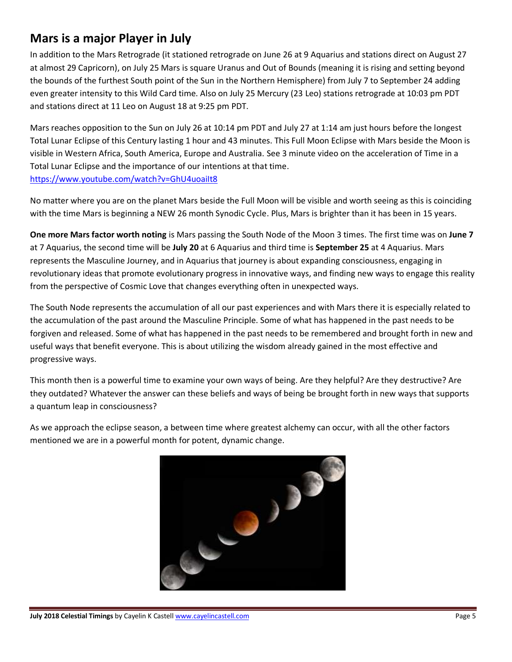## **Mars is a major Player in July**

In addition to the Mars Retrograde (it stationed retrograde on June 26 at 9 Aquarius and stations direct on August 27 at almost 29 Capricorn), on July 25 Mars is square Uranus and Out of Bounds (meaning it is rising and setting beyond the bounds of the furthest South point of the Sun in the Northern Hemisphere) from July 7 to September 24 adding even greater intensity to this Wild Card time. Also on July 25 Mercury (23 Leo) stations retrograde at 10:03 pm PDT and stations direct at 11 Leo on August 18 at 9:25 pm PDT.

Mars reaches opposition to the Sun on July 26 at 10:14 pm PDT and July 27 at 1:14 am just hours before the longest Total Lunar Eclipse of this Century lasting 1 hour and 43 minutes. This Full Moon Eclipse with Mars beside the Moon is visible in Western Africa, South America, Europe and Australia. See 3 minute video on the acceleration of Time in a Total Lunar Eclipse and the importance of our intentions at that time. <https://www.youtube.com/watch?v=GhU4uoaiIt8>

No matter where you are on the planet Mars beside the Full Moon will be visible and worth seeing as this is coinciding with the time Mars is beginning a NEW 26 month Synodic Cycle. Plus, Mars is brighter than it has been in 15 years.

**One more Mars factor worth noting** is Mars passing the South Node of the Moon 3 times. The first time was on **June 7** at 7 Aquarius, the second time will be **July 20** at 6 Aquarius and third time is **September 25** at 4 Aquarius. Mars represents the Masculine Journey, and in Aquarius that journey is about expanding consciousness, engaging in revolutionary ideas that promote evolutionary progress in innovative ways, and finding new ways to engage this reality from the perspective of Cosmic Love that changes everything often in unexpected ways.

The South Node represents the accumulation of all our past experiences and with Mars there it is especially related to the accumulation of the past around the Masculine Principle. Some of what has happened in the past needs to be forgiven and released. Some of what has happened in the past needs to be remembered and brought forth in new and useful ways that benefit everyone. This is about utilizing the wisdom already gained in the most effective and progressive ways.

This month then is a powerful time to examine your own ways of being. Are they helpful? Are they destructive? Are they outdated? Whatever the answer can these beliefs and ways of being be brought forth in new ways that supports a quantum leap in consciousness?

As we approach the eclipse season, a between time where greatest alchemy can occur, with all the other factors mentioned we are in a powerful month for potent, dynamic change.

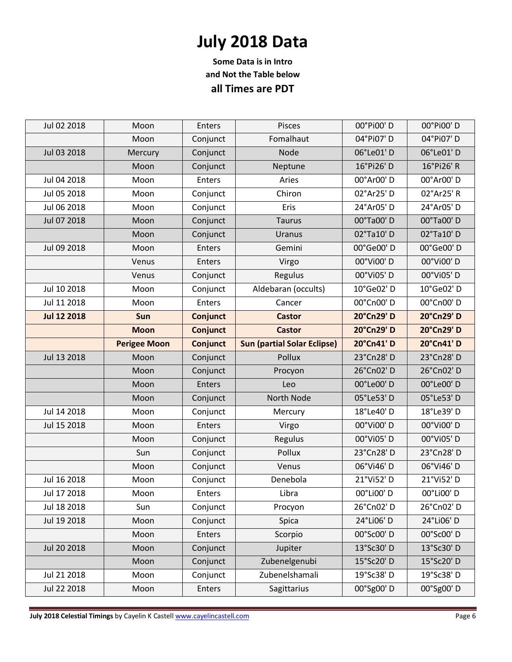## **July 2018 Data**

**Some Data is in Intro and Not the Table below all Times are PDT**

| Jul 02 2018        | Moon                | <b>Enters</b>   | Pisces                             | 00°Pi00'D  | 00°Pi00'D               |
|--------------------|---------------------|-----------------|------------------------------------|------------|-------------------------|
|                    | Moon                | Conjunct        | Fomalhaut                          | 04°Pi07'D  | 04°Pi07'D               |
| Jul 03 2018        | Mercury             | Conjunct        | Node                               | 06°Le01'D  | 06°Le01'D               |
|                    | Moon                | Conjunct        | Neptune                            | 16°Pi26' D | 16°Pi26' R              |
| Jul 04 2018        | Moon                | <b>Enters</b>   | Aries                              | 00°Ar00' D | 00°Ar00' D              |
| Jul 05 2018        | Moon                | Conjunct        | Chiron                             | 02°Ar25' D | 02°Ar25' R              |
| Jul 06 2018        | Moon                | Conjunct        | Eris                               | 24°Ar05' D | 24°Ar05'D               |
| Jul 07 2018        | Moon                | Conjunct        | <b>Taurus</b>                      | 00°Ta00'D  | 00°Ta00'D               |
|                    | Moon                | Conjunct        | Uranus                             | 02°Ta10' D | 02°Ta10'D               |
| Jul 09 2018        | Moon                | Enters          | Gemini                             | 00°Ge00'D  | 00°Ge00'D               |
|                    | Venus               | <b>Enters</b>   | Virgo                              | 00°Vi00' D | 00°Vi00'D               |
|                    | Venus               | Conjunct        | Regulus                            | 00°Vi05'D  | 00°Vi05'D               |
| Jul 10 2018        | Moon                | Conjunct        | Aldebaran (occults)                | 10°Ge02' D | 10°Ge02' D              |
| Jul 11 2018        | Moon                | <b>Enters</b>   | Cancer                             | 00°Cn00' D | 00°Cn00' D              |
| <b>Jul 12 2018</b> | Sun                 | <b>Conjunct</b> | <b>Castor</b>                      | 20°Cn29' D | 20°Cn29' D              |
|                    | <b>Moon</b>         | <b>Conjunct</b> | <b>Castor</b>                      | 20°Cn29' D | 20°Cn29' D              |
|                    | <b>Perigee Moon</b> | <b>Conjunct</b> | <b>Sun (partial Solar Eclipse)</b> | 20°Cn41'D  | 20°Cn41'D               |
| Jul 13 2018        | Moon                | Conjunct        | Pollux                             | 23°Cn28'D  | 23°Cn28'D               |
|                    | Moon                | Conjunct        | Procyon                            | 26°Cn02'D  | 26°Cn02'D               |
|                    |                     |                 |                                    |            |                         |
|                    | Moon                | Enters          | Leo                                | 00°Le00'D  | 00°Le00'D               |
|                    | Moon                | Conjunct        | North Node                         | 05°Le53'D  | 05°Le53'D               |
| Jul 14 2018        | Moon                | Conjunct        | Mercury                            | 18°Le40' D | 18°Le39' D              |
| Jul 15 2018        | Moon                | <b>Enters</b>   | Virgo                              | 00°Vi00'D  | 00°Vi00'D               |
|                    | Moon                | Conjunct        | Regulus                            | 00°Vi05'D  | 00°Vi05'D               |
|                    | Sun                 | Conjunct        | Pollux                             | 23°Cn28' D | 23°Cn28'D               |
|                    | Moon                | Conjunct        | Venus                              | 06°Vi46'D  | 06°Vi46'D               |
| Jul 16 2018        | Moon                | Conjunct        | Denebola                           | 21°Vi52' D | 21°Vi52' D              |
| Jul 17 2018        | Moon                | Enters          | Libra                              | 00°Li00' D | 00°Li00' D              |
| Jul 18 2018        | Sun                 | Conjunct        | Procyon                            | 26°Cn02'D  | 26°Cn02'D               |
| Jul 19 2018        | Moon                | Conjunct        | Spica                              | 24°Li06'D  | 24°Li06'D               |
|                    | Moon                | <b>Enters</b>   | Scorpio                            | 00°Sc00' D | 00°Sc00' D              |
| Jul 20 2018        | Moon                | Conjunct        | Jupiter                            | 13°Sc30' D | 13°Sc30' D              |
|                    | Moon                | Conjunct        | Zubenelgenubi                      | 15°Sc20' D | 15°Sc20' D              |
| Jul 21 2018        | Moon                | Conjunct        | Zubenelshamali                     | 19°Sc38' D | 19°Sc38' D<br>00°Sg00'D |

**July 2018 Celestial Timings** by Cayelin K Castell **www.cayelincastell.com Page 6** Page 6